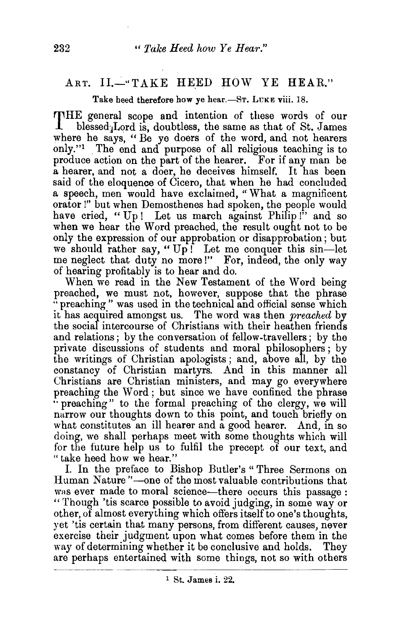## ART. II.-"TAKE HEED HOW YE HEAR."

Take heed therefore how ye hear.-ST. LUKE viii. 18.

THE general scope and intention of these words of our blessed. Lord is, doubtless, the same as that of St. James where he says, " Be ye doers of the word, and not hearers only."1 The end and purpose of all religious teaching is to produce action on the part of the hearer. For if any man be a hearer, and not a doer, he deceives himself. It has been said of the eloquence of Cicero, that when he had concluded a speech, men would have exclaimed, "What a magnificent orator!" but when Demosthenes had spoken, the people would have cried, "Up! Let us march against Philip!" and so when we hear the Word preached, the result ought not to be only the expression of our approbation or disapprobation; but we should rather say, "Up! Let me conquer this sin-let me neglect that duty no more!" For, indeed, the only way of hearing profitably is to hear and do.

When we read in the New Testament of the Word being preached, we must not, however, suppose that the phrase "preaching" was used in the technical and official sense which it has acquired amongst us. The word was then *preached* by the social intercourse of Christians with their heathen friends and relations; by the conversation of fellow-travellers; by the private discussions of students and moral philosophers; by the writings of Christian apologists ; and, above all, by the constancy of Christian martyrs. And in this manner all Christians are Christian ministers, and may go everywhere preaching the Word ; but since we have confined the phrase ··preaching" to the formal preaching of the clergy, we will narrow our thoughts down to this point, and touch briefly on what constitutes an ill hearer and a good hearer. And, in so doing, we shall perhaps meet with some thoughts which will for the future help us to fulfil the precept of our text, and "take heed how we hear."

I. In the preface to Bishop Butler's " Three Sermons on Human Nature"-one of the most valuable contributions that was ever made to moral science-there occurs this passage : "Though 'tis scarce possible to avoid judging, in some way or other, of almost everything which offers itself to one's thoughts, yet 'tis certain that many persons, from different causes, never exercise their judgment upon what comes before them in the way of determining whether it be conclusive and holds. They are perhaps entertained with some things, not so with others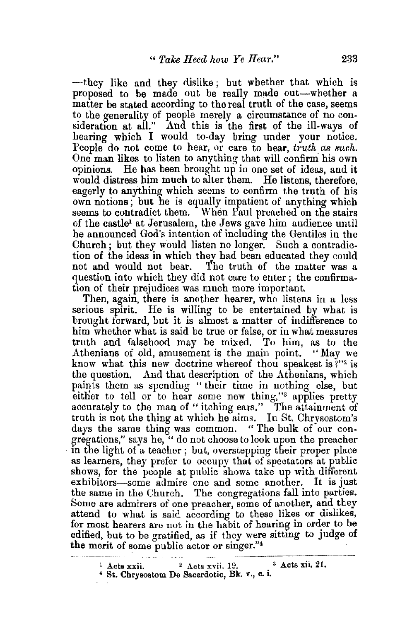-they like and they dislike; but whether that which is proposed to be made out be really made out-whether a matter be stated according to the real truth of the case, seems to the generality of people merely a circumstance of no consideration at all." And this is the first of the ill-ways of hearing which I would to-day bring under your notice. People do not come to hear, or care to hear, *truth as such*. One man likes to listen to anything that will confirm his own opinions. He has been brought up in one set of ideas, and it would distress him much to alter them. He listens, therefore, eagerly to anything which seems to confirm the truth of his own notions; but he is equally impatient of anything which seems to contradict them. When Paul preached on the stairs of the castle1 at Jerusalem, the Jews gave him audience until he announced God's intention of including the Gentiles in the Church; but they would listen no longer. Such a contradiction of the ideas in which they had been educated they could not and would not bear. The truth of the matter was a question into which they did not care to enter ; the confirmation of their prejudices was much more important.

Then, again, there is another hearer, who listens in a less serious spirit. He is willing to be entertained by what is brought forward, but it is almost a matter of indifference to him whether what is said be true or false, or in what measures truth and falsehood may be mixed. To him, as to the Athenians of old, amusement is the main point. "May we know what this new doctrine whereof thou speakest is  $\mathbb{R}^{2}$  is the question. And that description of the Athenians, which paints them as spending "their time in nothing else, but either to tell or to hear some new thing,"<sup>3</sup> applies pretty accurately to the man of "itching ears." The attainment of truth is not the thing at which he aims. In St. Chrysostom's days the same thing was common. " The bulk of our congregations," says he, " do not choose to look upon the preacher m the light of a teacher ; but, overstepping their proper place as learners, they prefer to occupy that of spectators at public shows, for the people at public shows take up with different exhibitors-some admire one and some another. It is just the same in the Church. The congregations fall into parties. Some are admirers of one preacher, some of another, and they attend to what is said according to these likes or dislikes, for most hearers are not in the habit of hearing in order to be edified, but to be gratified, as if they were sitting to judge of the merit of some public actor or singer."<sup>4</sup>

<sup>&</sup>lt;sup>1</sup> Acts xxii. <sup>2</sup> Acts xvii. 19. <sup>3</sup> Acts xii. 21. 4 St. Chrysostom De Sacerdotio, Bk. v., c. i.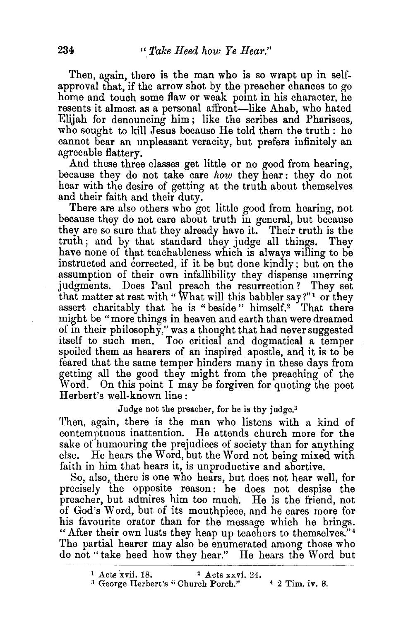Then, again, there is the man who is so wrapt up in selfapproval that, if the arrow shot by the preacher chances to go home and touch some flaw or weak point in his character, he resents it almost as a personal affront—like Ahab, who hated Elijah for denouncing him ; like the scribes and Pharisees, who sought to kill Jesus because He told them the truth : he cannot bear an unpleasant veracity, but prefers infinitely an agreeable flattery.

And these three classes get little or no good from hearing, because they do not take care *how* they hear : they do not hear with the desire of getting at the truth about themselves and their faith and their duty.

There are also others who get little good from hearing, not because they do not care about truth in general, but because they are so sure that they already have it. Their truth is the truth; and by that standard they judge all things. They have none of that teachableness which is always willing to be instructed and corrected, if it be but done kindly; but on the assumption of their own infallibility they dispense unerring judgments. Does Paul preach the resurrection? They set that matter at rest with "What will this babbler say?"<sup>1</sup> or they assert charitably that he is "beside" himself.<sup>2</sup> That there might be "more things in heaven and earth than were dreamed of in their philosophy," was a thought that had never suggested itself to such men. Too critical and dogmatical a temper spoiled them as hearers of an inspired apostle, and it is to be feared that the same temper hinders many in these days from getting all the good they might from the preaching of the Word. On this point I may be forgiven for quoting the poet Herbert's well-known line :

Judge not the preacher, for he is thy judge. $3$ 

Then, again, there is the man who listens with a kind of contemptuous inattention. He attends church more for the sake of humouring the prejudices of society than for anything else. He hears the Word, but the Word not being mixed with faith in him that hears it, is unproductive and abortive.

So, also, there is one who hears, but does not hear well, for precisely the opposite reason: he does not despise the preacher, but admires him too much. He is the friend, not of God's Word, but of its mouthpiece, and he cares more for his favourite orator than for the message which he brings. "After their own lusts they heap up teachers to themselves." <sup>4</sup> The partial hearer may also be enumerated among those who do not ''take heed how they hear." He hears the Word but

<sup>&</sup>lt;sup>1</sup> Acts xvii. 18. <sup>2</sup> Acts xxvi. 24. <sup>3</sup> George Herbert's "Church Porch."  $4$  2 Tim. iv. 3.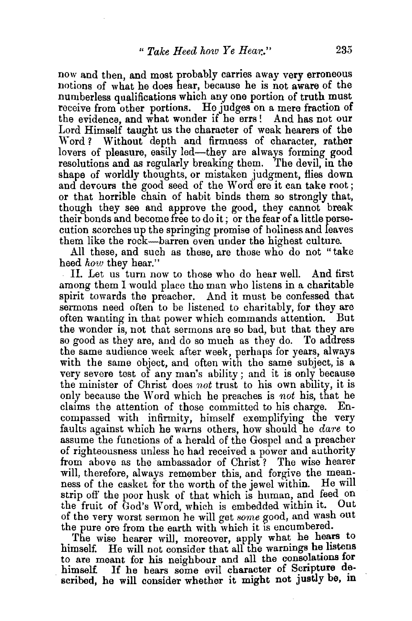now and then, and most probably carries away very erroneous notions of what be does hear, because be is not aware of the numberless qualifications which any one portion of truth must receive from other portions. He judges on a mere fraction of the evidence, and what wonder if he errs ! And has not our Lord Himself taught us the character of weak hearers of the Word? Without depth and firmness of character, rather lovers of pleasure, easily led—they are always forming good resolutions and as regularly breaking them. The devil, in the resolutions and as regularly breaking them. shape of worldly thoughts, or mistaken judgment, flies down and devours the good seed of the Word ere it can take root ; or that horrible chain of habit binds them so strongly that, though they see and approve the good, they cannot break their bonds and become free to do it; or the fear of a little persecution scorches up the springing promise of holiness and leaves them like the rock-barren even under the highest culture.

All these, and such as these, are those who do not "take heed *how* they hear."

II. Let us turn now to those who do hear well. And first among them I would place the man who listens in a charitable spirit towards the preacher. And it must be confessed that sermons need often to be listened to charitably, for they are often wanting in that power which commands attention. But often wanting in that power which commands attention. the wonder is, not that sermons are so bad, but that they are so good as they are, and do so much as they do. To address the same audience week after week, perhaps for years, always with the same object, and often with the same subject, is a very severe test of any man's ability; and it is only because the minister of Christ does not trust to his own ability, it is only because the Word which he preaches is *not* his, that he claims the attention of those committed to his charge. Encompassed with infirmity, himself exemplifying the very faults against which he warns others, how should he *dare* to assume the functions of a herald of the Gospel and a preacher of righteousness unless he had received a power and authority from above as the ambassador of Christ ? The wise hearer will, therefore, always remember this, and forgive the meanness of the casket for the worth of the jewel within. He will strip off the poor husk of that which is human, and feed on<br>the fruit of God's Word which is embedded within it. Out the fruit of God's Word, which is embedded within it. of the very worst sermon' he will get *some* good, and wash out the pure ore from the earth with which it is encumbered.

The wise hearer will, moreover, apply what he hears to himself. He will not consider that all the warnings he listens to are meant for his neighbour and all the consolations for himself. If he hears some evil character of Scripture dehimself. If he bears some evil character of Scripture described, he will consider whether it might not justly be, in